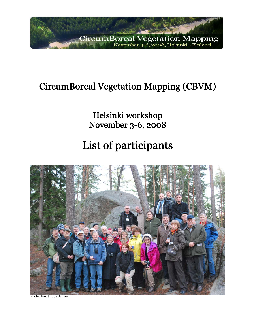

## CircumBoreal Vegetation Mapping (CBVM)

Helsinki workshop November 3-6, 2008

# List of participants



Photo: Frédérique Saucier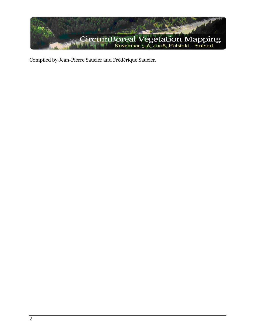

Compiled by Jean-Pierre Saucier and Frédérique Saucier.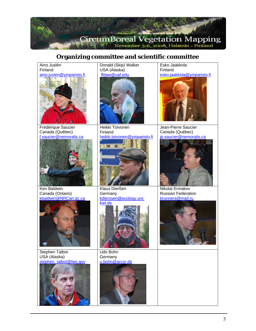

## **Organizing committee and scientific committee**

| Aino Juslén                               | Donald (Skip) Walker              | Esko Jaakkola                                 |
|-------------------------------------------|-----------------------------------|-----------------------------------------------|
| Finland<br>aino.juslen@ymparisto.fi       | USA (Alaska)<br>ffdaw@uaf.edu     | Finland<br>esko.jaakkola@ymparisto.fi         |
|                                           |                                   |                                               |
| Frédérique Saucier                        | Heikki Toivonen<br>Finland        | Jean-Pierre Saucier                           |
| Canada (Québec)<br>f.saucier@nemoralis.ca | heikki.toivonen@ymparisto.fi      | Canada (Québec)<br>jp.saucier@nemoralis.ca    |
| Ken Baldwin                               | Klaus Dierßen                     | Nikolai Ermakov                               |
| Canada (Ontario)<br>kbaldwin@NRCan.gc.ca  | Germany<br>kdierssen@ecology.uni- | <b>Russian Federation</b><br>brunnera@mail.ru |
|                                           | kiel.de                           |                                               |
| Stephen Talbot                            | Udo Bohn                          |                                               |
| USA (Alaska)<br>stephen_talbot@fws.gov    | Germany<br>u.bohn@arcor.de        |                                               |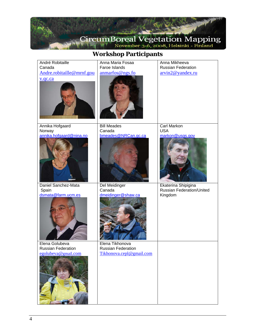

### **Workshop Participants**

| André Robitaille<br>Canada<br>Andre.robitaille@mrnf.gou<br>v.qc.ca | Anna Maria Fosaa<br>Faroe Islands<br>anmarfos@ngs.fo              | Anna Mikheeva<br><b>Russian Federation</b><br>arvin2@yandex.ru |
|--------------------------------------------------------------------|-------------------------------------------------------------------|----------------------------------------------------------------|
| Annika Hofgaard                                                    | <b>Bill Meades</b>                                                | Carl Markon                                                    |
| Norway                                                             | Canada                                                            | <b>USA</b>                                                     |
| annika.hofgaard@nina.no                                            | bmeades@NRCan.gc.ca                                               | markon@usgs.gov                                                |
| Daniel Sanchez-Mata                                                | Del Meidinger                                                     | Ekaterina Shipigina                                            |
| Spain                                                              | Canada                                                            | <b>Russian Federation/United</b>                               |
| dsmata@farm.ucm.es                                                 | dmeidinger@shaw.ca                                                | Kingdom                                                        |
| Elena Golubeva<br>Russian Federation<br>egolubeva@gmail.com        | Elena Tikhonova<br>Russian Federation<br>Tikhonova.cepl@gmail.com |                                                                |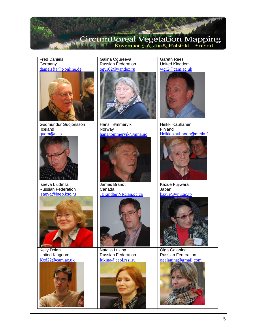

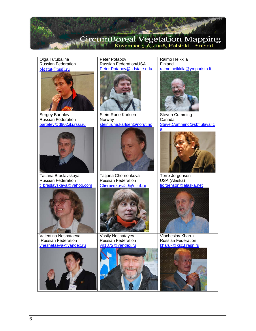